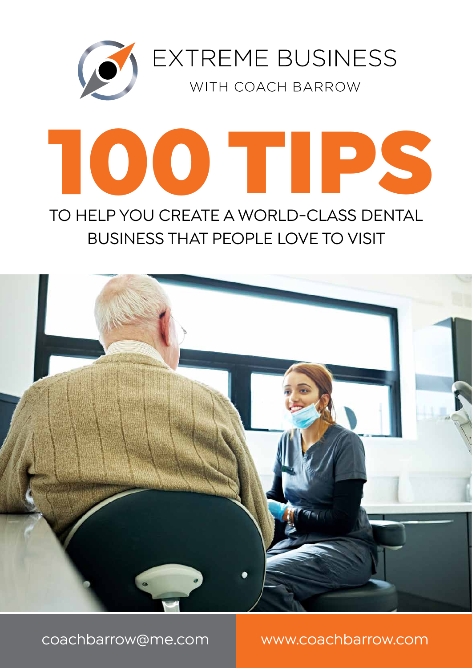

# TO HELP YOU CREATE A WORLD-CLASS DENTAL BUSINESS THAT PEOPLE LOVE TO VISIT 100 TIPS

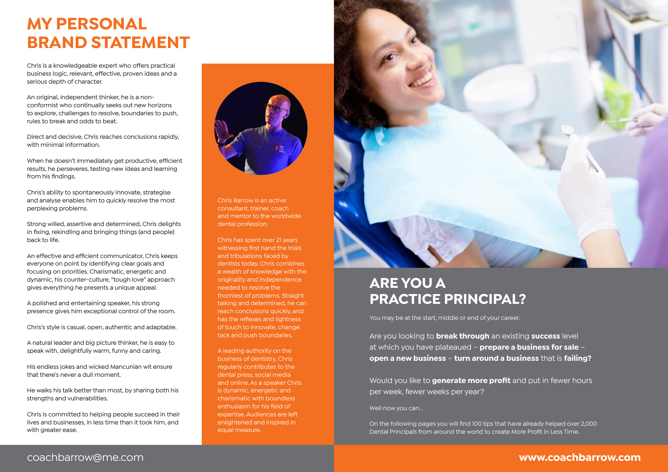# **MY PERSONAL BRAND STATEMENT**

Chris is a knowledgeable expert who offers practical business logic, relevant, effective, proven ideas and a serious depth of character.

An original, independent thinker, he is a nonconformist who continually seeks out new horizons to explore, challenges to resolve, boundaries to push, rules to break and odds to beat.

Direct and decisive, Chris reaches conclusions rapidly, with minimal information.

When he doesn't immediately get productive, efficient results, he perseveres, testing new ideas and learning from his findings.

Chris's ability to spontaneously innovate, strategise and analyse enables him to quickly resolve the most perplexing problems.

Strong willed, assertive and determined, Chris delights in fixing, rekindling and bringing things (and people) back to life.

An effective and efficient communicator, Chris keeps everyone on point by identifying clear goals and focusing on priorities. Charismatic, energetic and dynamic, his counter-culture, "tough love" approach gives everything he presents a unique appeal.

A polished and entertaining speaker, his strong presence gives him exceptional control of the room.

Chris's style is casual, open, authentic and adaptable.

A natural leader and big picture thinker, he is easy to speak with, delightfully warm, funny and caring.

His endless jokes and wicked Mancunian wit ensure that there's never a dull moment.

He walks his talk better than most, by sharing both his strengths and vulnerabilities.

Chris is committed to helping people succeed in their lives and businesses, in less time than it took him, and with greater ease.



Chris Barrow is an active consultant, trainer, coach and mentor to the worldwide dental profession.

Chris has spent over 21 years witnessing first hand the trials and tribulations faced by dentists today. Chris combines a wealth of knowledge with the originality and independence needed to resolve the thorniest of problems. Straight talking and determined, he can reach conclusions quickly, and has the reflexes and lightness of touch to innovate, change tack and push boundaries.

A leading authority on the business of dentistry, Chris regularly contributes to the dental press, social media and online. As a speaker Chris is dynamic, energetic and charismatic with boundless enthusiasm for his field of expertise. Audiences are left enlightened and inspired in equal measure.



# **ARE YOU A PRACTICE PRINCIPAL?**

You may be at the start, middle or end of your career.

Are you looking to **break through** an existing **success** level at which you have plateaued – **prepare a business for sale** – **open a new business** – **turn around a business** that is **failing?**

Would you like to **generate more profit** and put in fewer hours per week, fewer weeks per year?

Well now you can...

On the following pages you will find 100 tips that have already helped over 2,000 Dental Principals from around the world to create More Profit in Less Time.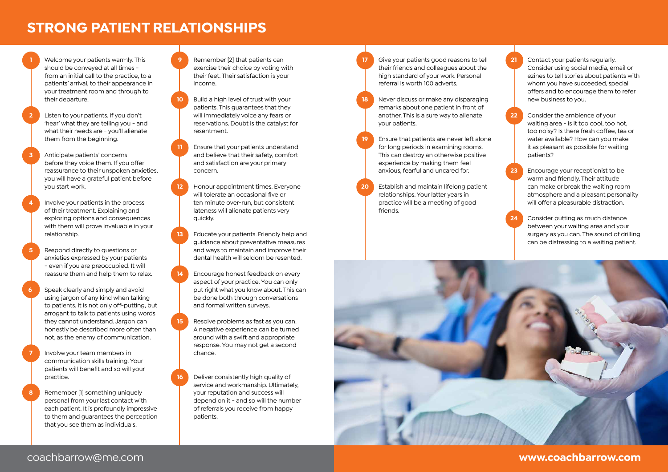# **STRONG PATIENT RELATIONSHIPS**

**1** Welcome your patients warmly. This should be conveyed at all times from an initial call to the practice, to a patients' arrival, to their appearance in your treatment room and through to their departure.

- **2** Listen to your patients. If you don't 'hear' what they are telling you - and what their needs are - you'll alienate them from the beginning.
- **3** Anticipate patients' concerns before they voice them. If you offer reassurance to their unspoken anxieties, you will have a grateful patient before you start work.
- **4** Involve your patients in the process of their treatment. Explaining and exploring options and consequences with them will prove invaluable in your relationship.
	- **5** Respond directly to questions or anxieties expressed by your patients - even if you are preoccupied. It will reassure them and help them to relax.
- **6** Speak clearly and simply and avoid using jargon of any kind when talking to patients. It is not only off-putting, but arrogant to talk to patients using words they cannot understand. Jargon can honestly be described more often than not, as the enemy of communication.
- **7** Involve your team members in communication skills training. Your patients will benefit and so will your practice.
- **8** Remember [1] something uniquely personal from your last contact with each patient. It is profoundly impressive to them and guarantees the perception that you see them as individuals.

**9** Remember [2] that patients can exercise their choice by voting with their feet. Their satisfaction is your income.

- **10** Build a high level of trust with your patients. This guarantees that they will immediately voice any fears or reservations. Doubt is the catalyst for resentment.
- **11** Ensure that your patients understand and believe that their safety, comfort and satisfaction are your primary concern.
- **12** Honour appointment times. Everyone will tolerate an occasional five or ten minute over-run, but consistent lateness will alienate patients very quickly.
- **13** Educate your patients. Friendly help and guidance about preventative measures and ways to maintain and improve their dental health will seldom be resented.
- **14** Encourage honest feedback on every aspect of your practice. You can only put right what you know about. This can be done both through conversations and formal written surveys.
- **15** Resolve problems as fast as you can. A negative experience can be turned around with a swift and appropriate response. You may not get a second chance.
	- **16** Deliver consistently high quality of service and workmanship. Ultimately, your reputation and success will depend on it - and so will the number of referrals you receive from happy patients.
- **17** Give your patients good reasons to tell their friends and colleagues about the high standard of your work. Personal referral is worth 100 adverts.
- **18** Never discuss or make any disparaging remarks about one patient in front of another. This is a sure way to alienate your patients.
- **19** Ensure that patients are never left alone for long periods in examining rooms. This can destroy an otherwise positive experience by making them feel anxious, fearful and uncared for.
- **20** Establish and maintain lifelong patient relationships. Your latter years in practice will be a meeting of good friends.
- **21** Contact your patients regularly. Consider using social media, email or ezines to tell stories about patients with whom you have succeeded, special offers and to encourage them to refer new business to you.
- **22** Consider the ambience of your waiting area - is it too cool, too hot, too noisy? Is there fresh coffee, tea or water available? How can you make it as pleasant as possible for waiting patients?
- **23** Encourage your receptionist to be warm and friendly. Their attitude can make or break the waiting room atmosphere and a pleasant personality will offer a pleasurable distraction.
- **24** Consider putting as much distance between your waiting area and your surgery as you can. The sound of drilling can be distressing to a waiting patient.

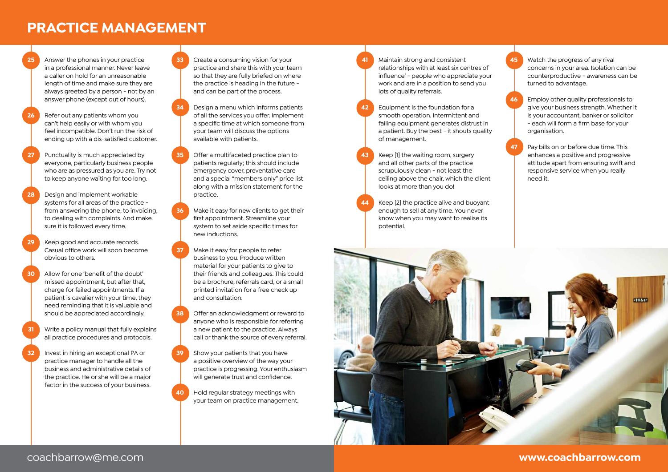# **PRACTICE MANAGEMENT**

**25** Answer the phones in your practice in a professional manner. Never leave a caller on hold for an unreasonable length of time and make sure they are always greeted by a person - not by an answer phone (except out of hours).

- **26** Refer out any patients whom you can't help easily or with whom you feel incompatible. Don't run the risk of ending up with a dis-satisfied customer.
- **27** Punctuality is much appreciated by everyone, particularly business people who are as pressured as you are. Try not to keep anyone waiting for too long.
- **28** Design and implement workable systems for all areas of the practice from answering the phone, to invoicing, to dealing with complaints. And make sure it is followed every time.
- **29** Keep good and accurate records. Casual office work will soon become obvious to others.
- **30** Allow for one 'benefit of the doubt' missed appointment, but after that, charge for failed appointments. If a patient is cavalier with your time, they need reminding that it is valuable and should be appreciated accordingly.
- **31** Write a policy manual that fully explains all practice procedures and protocols.
- **32** Invest in hiring an exceptional PA or practice manager to handle all the business and administrative details of the practice. He or she will be a major factor in the success of your business.

**33** Create a consuming vision for your practice and share this with your team so that they are fully briefed on where the practice is heading in the future and can be part of the process.

- **34** Design a menu which informs patients of all the services you offer. Implement a specific time at which someone from your team will discuss the options available with patients.
- **35** Offer a multifaceted practice plan to patients regularly; this should include emergency cover, preventative care and a special "members only" price list along with a mission statement for the practice.
- **36** Make it easy for new clients to get their first appointment. Streamline your system to set aside specific times for new inductions.
- **37** Make it easy for people to refer business to you. Produce written material for your patients to give to their friends and colleagues. This could be a brochure, referrals card, or a small printed invitation for a free check up and consultation.
- **38** Offer an acknowledgment or reward to anyone who is responsible for referring a new patient to the practice. Always call or thank the source of every referral.
- **39** Show your patients that you have a positive overview of the way your practice is progressing. Your enthusiasm will generate trust and confidence.
- **40** Hold regular strategy meetings with your team on practice management.
- **41** Maintain strong and consistent relationships with at least six centres of influence' - people who appreciate your work and are in a position to send you lots of quality referrals.
- **42** Equipment is the foundation for a smooth operation. Intermittent and failing equipment generates distrust in a patient. Buy the best - it shouts quality of management.
- **43** Keep [1] the waiting room, surgery and all other parts of the practice scrupulously clean - not least the ceiling above the chair, which the client looks at more than you do!
- **44** Keep [2] the practice alive and buoyant enough to sell at any time. You never know when you may want to realise its potential.
- **45** Watch the progress of any rival concerns in your area. Isolation can be counterproductive - awareness can be turned to advantage.
- **46** Employ other quality professionals to give your business strength. Whether it is your accountant, banker or solicitor - each will form a firm base for your organisation.
- **47** Pay bills on or before due time. This enhances a positive and progressive attitude apart from ensuring swift and responsive service when you really need it.

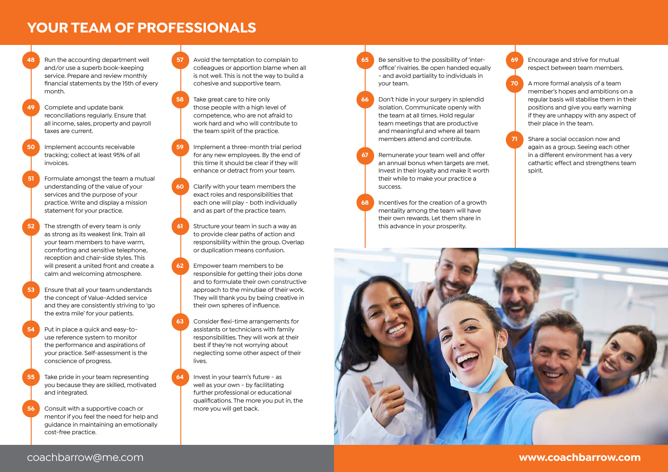### **YOUR TEAM OF PROFESSIONALS**

**48** Run the accounting department well and/or use a superb book-keeping service. Prepare and review monthly financial statements by the 15th of every month.

**49** Complete and update bank reconciliations regularly. Ensure that all income, sales, property and payroll taxes are current.

- **50** Implement accounts receivable tracking; collect at least 95% of all invoices.
- **51** Formulate amongst the team a mutual understanding of the value of your services and the purpose of your practice. Write and display a mission statement for your practice.
- **52** The strength of every team is only as strong as its weakest link. Train all your team members to have warm, comforting and sensitive telephone, reception and chair-side styles. This will present a united front and create a calm and welcoming atmosphere.
- **53** Ensure that all your team understands the concept of Value-Added service and they are consistently striving to 'go the extra mile' for your patients.
- **54** Put in place a quick and easy-touse reference system to monitor the performance and aspirations of your practice. Self-assessment is the conscience of progress.
- **55** Take pride in your team representing you because they are skilled, motivated and integrated.
- **56** Consult with a supportive coach or mentor if you feel the need for help and guidance in maintaining an emotionally cost-free practice.

**57** Avoid the temptation to complain to colleagues or apportion blame when all is not well. This is not the way to build a cohesive and supportive team.

**58** Take great care to hire only those people with a high level of competence, who are not afraid to work hard and who will contribute to the team spirit of the practice.

**59** Implement a three-month trial period for any new employees. By the end of this time it should be clear if they will enhance or detract from your team.

**60** Clarify with your team members the exact roles and responsibilities that each one will play - both individually and as part of the practice team.

**61** Structure your team in such a way as to provide clear paths of action and responsibility within the group. Overlap or duplication means confusion.

**62** Empower team members to be responsible for getting their jobs done and to formulate their own constructive approach to the minutiae of their work. They will thank you by being creative in their own spheres of influence.

- **63** Consider flexi-time arrangements for assistants or technicians with family responsibilities. They will work at their best if they're not worrying about neglecting some other aspect of their lives.
- **64** Invest in your team's future as well as your own - by facilitating further professional or educational qualifications. The more you put in, the more you will get back.
- **65** Be sensitive to the possibility of 'interoffice' rivalries. Be open handed equally - and avoid partiality to individuals in your team.
- **66** Don't hide in your surgery in splendid isolation. Communicate openly with the team at all times. Hold regular team meetings that are productive and meaningful and where all team members attend and contribute.
- **67** Remunerate your team well and offer an annual bonus when targets are met. Invest in their loyalty and make it worth their while to make your practice a success.
- **68** Incentives for the creation of a growth mentality among the team will have their own rewards. Let them share in this advance in your prosperity.
- **69** Encourage and strive for mutual respect between team members.
- **70** A more formal analysis of a team member's hopes and ambitions on a regular basis will stabilise them in their positions and give you early warning if they are unhappy with any aspect of their place in the team.
- **71** Share a social occasion now and again as a group. Seeing each other in a different environment has a very cathartic effect and strengthens team spirit.

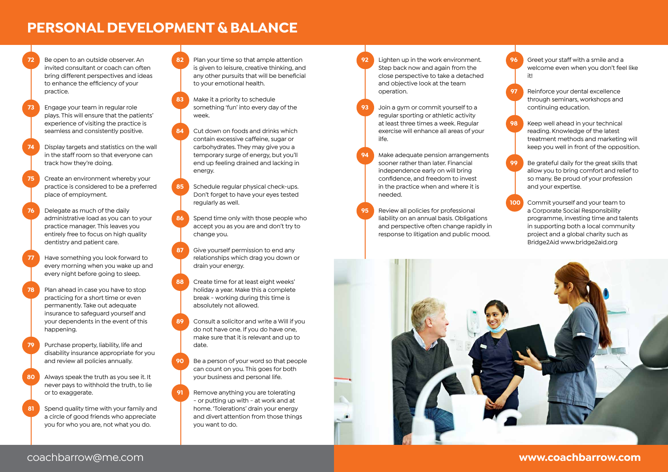# **PERSONAL DEVELOPMENT & BALANCE**

**72** Be open to an outside observer. An invited consultant or coach can often bring different perspectives and ideas to enhance the efficiency of your practice.

**73** Engage your team in regular role plays. This will ensure that the patients' experience of visiting the practice is seamless and consistently positive.

- **74** Display targets and statistics on the wall in the staff room so that everyone can track how they're doing.
- **75** Create an environment whereby your practice is considered to be a preferred place of employment.
- **76** Delegate as much of the daily administrative load as you can to your practice manager. This leaves you entirely free to focus on high quality dentistry and patient care.
- **77** Have something you look forward to every morning when you wake up and every night before going to sleep.
- **78** Plan ahead in case you have to stop practicing for a short time or even permanently. Take out adequate insurance to safeguard yourself and your dependents in the event of this happening.
- Purchase property, liability, life and disability insurance appropriate for you and review all policies annually.
- **80** Always speak the truth as you see it. It never pays to withhold the truth, to lie or to exaggerate.
- **81** Spend quality time with your family and a circle of good friends who appreciate you for who you are, not what you do.

**82** Plan your time so that ample attention is given to leisure, creative thinking, and any other pursuits that will be beneficial to your emotional health.

- **83** Make it a priority to schedule something 'fun' into every day of the week.
- **84** Cut down on foods and drinks which contain excessive caffeine, sugar or carbohydrates. They may give you a temporary surge of energy, but you'll end up feeling drained and lacking in energy.
- **85** Schedule regular physical check-ups. Don't forget to have your eyes tested regularly as well.

**86** Spend time only with those people who accept you as you are and don't try to change you.

**87** Give yourself permission to end any relationships which drag you down or drain your energy.

**88** Create time for at least eight weeks' holiday a year. Make this a complete break - working during this time is absolutely not allowed.

- **89** Consult a solicitor and write a Will if you do not have one. If you do have one, make sure that it is relevant and up to date.
- **90** Be a person of your word so that people can count on you. This goes for both your business and personal life.
- **91** Remove anything you are tolerating - or putting up with - at work and at home. 'Tolerations' drain your energy and divert attention from those things you want to do.

**92** Lighten up in the work environment. Step back now and again from the close perspective to take a detached and objective look at the team operation.

> **93** Join a gym or commit yourself to a regular sporting or athletic activity at least three times a week. Regular exercise will enhance all areas of your ilfe.

- **94** Make adequate pension arrangements sooner rather than later. Financial independence early on will bring confidence, and freedom to invest in the practice when and where it is needed.
- **95** Review all policies for professional liability on an annual basis. Obligations and perspective often change rapidly in response to litigation and public mood.



**97** Reinforce your dental excellence through seminars, workshops and continuing education.

- **98** Keep well ahead in your technical reading. Knowledge of the latest treatment methods and marketing will keep you well in front of the opposition.
- **99** Be grateful daily for the great skills that allow you to bring comfort and relief to so many. Be proud of your profession and your expertise.
- **100** Commit yourself and your team to a Corporate Social Responsibility programme, investing time and talents in supporting both a local community project and a global charity such as Bridge2Aid www.bridge2aid.org